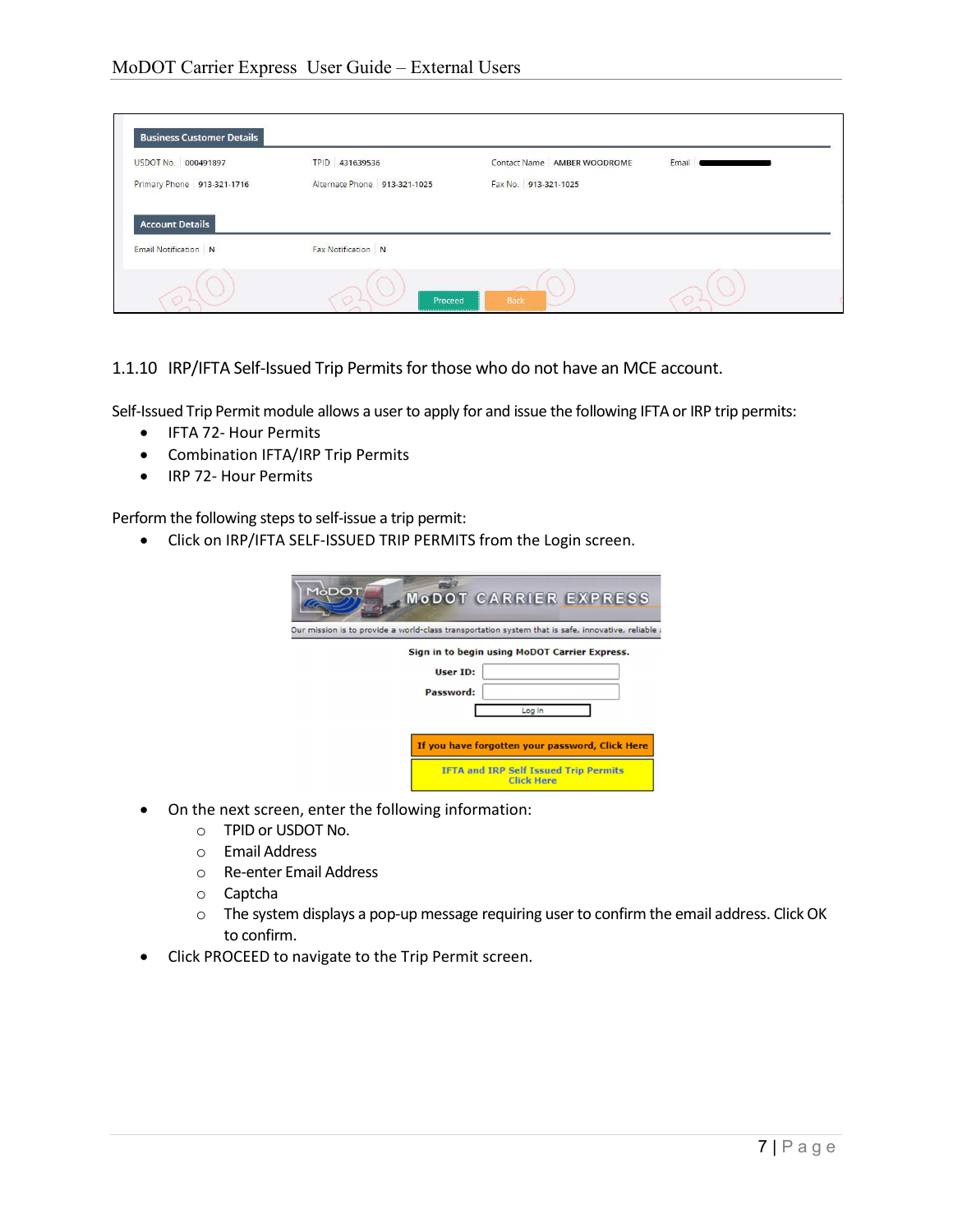| USDOT No. 000491897         | TPID 431639536               | Contact Name AMBER WOODROME | Email |
|-----------------------------|------------------------------|-----------------------------|-------|
| Primary Phone 913-321-1716  | Alternate Phone 913-321-1025 | Fax No. 913-321-1025        |       |
|                             |                              |                             |       |
| <b>Account Details</b>      |                              |                             |       |
|                             |                              |                             |       |
|                             |                              |                             |       |
| <b>Email Notification</b> N | Fax Notification N           |                             |       |

1.1.10 IRP/IFTA Self-Issued Trip Permits for those who do not have an MCE account.

Self-Issued Trip Permit module allows a user to apply for and issue the following IFTA or IRP trip permits:

- IFTA 72- Hour Permits
- Combination IFTA/IRP Trip Permits
- IRP 72- Hour Permits

Perform the following steps to self-issue a trip permit:

Click on IRP/IFTA SELF-ISSUED TRIP PERMITS from the Login screen.

| MòDO                                                                                               | <b>MODOT CARRIER EXPRESS</b>                                      |
|----------------------------------------------------------------------------------------------------|-------------------------------------------------------------------|
| . Dur mission is to provide a world-class transportation system that is safe, innovative, reliable |                                                                   |
| User ID:<br>Password:                                                                              | Sign in to begin using MoDOT Carrier Express.<br>Log In           |
|                                                                                                    | If you have forgotten your password, Click Here                   |
|                                                                                                    | <b>IFTA and IRP Self Issued Trip Permits</b><br><b>Click Here</b> |

- On the next screen, enter the following information:
	- o TPID or USDOT No.
	- o Email Address
	- o Re-enter Email Address
	- o Captcha
	- o The system displays a pop-up message requiring user to confirm the email address. Click OK to confirm.
- Click PROCEED to navigate to the Trip Permit screen.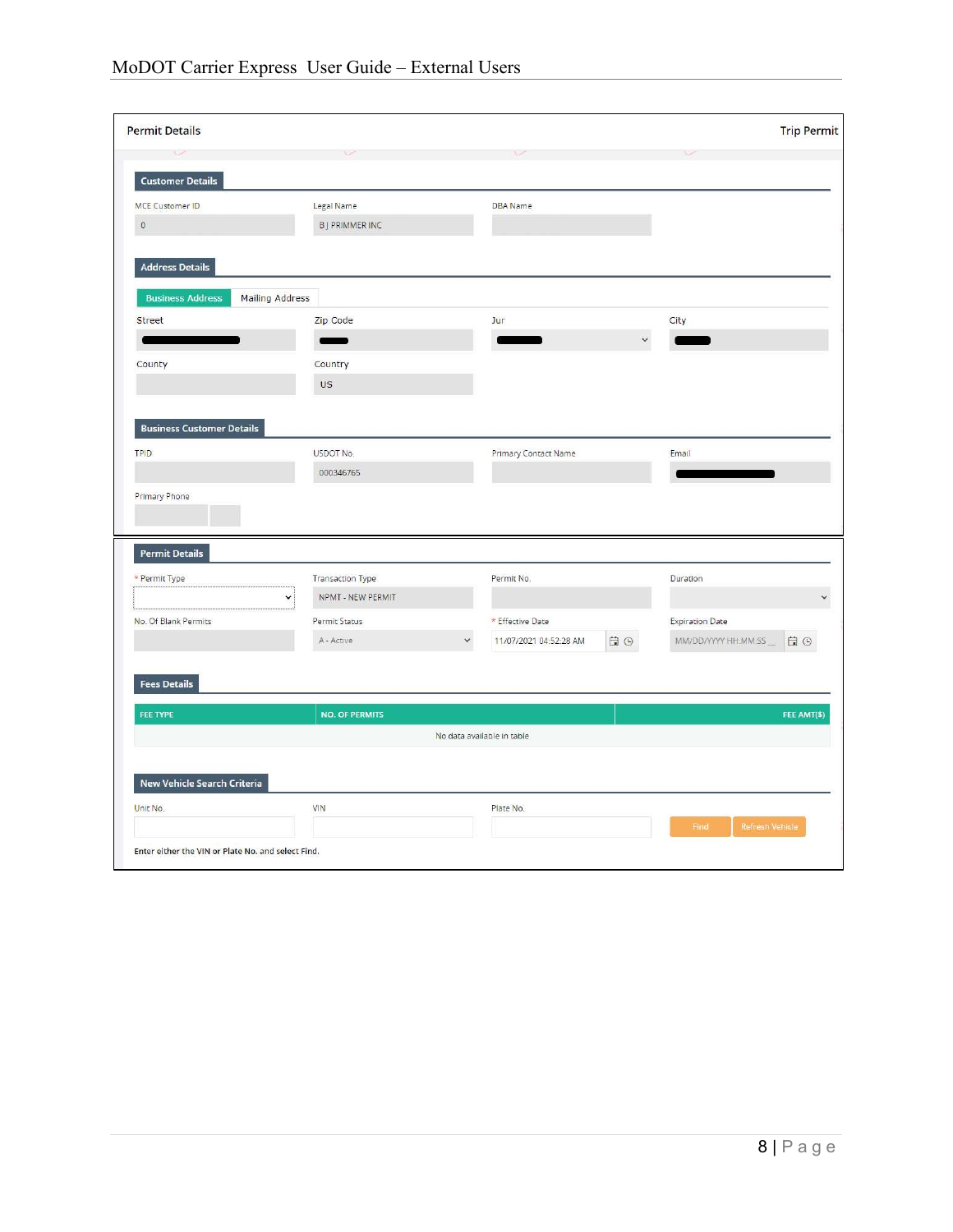|                                                                         |                                  |                                                                | <b>Trip Permit</b>        |
|-------------------------------------------------------------------------|----------------------------------|----------------------------------------------------------------|---------------------------|
|                                                                         |                                  |                                                                |                           |
| <b>Customer Details</b>                                                 |                                  |                                                                |                           |
| MCE Customer ID                                                         | Legal Name                       | <b>DBA</b> Name                                                |                           |
| $\mathbb O$                                                             | <b>BJ PRIMMER INC</b>            |                                                                |                           |
| <b>Address Details</b>                                                  |                                  |                                                                |                           |
| <b>Business Address</b>                                                 | <b>Mailing Address</b>           |                                                                |                           |
| Street                                                                  | Zip Code                         | Jur                                                            | City                      |
|                                                                         |                                  |                                                                | $\checkmark$              |
| County                                                                  | Country                          |                                                                |                           |
|                                                                         | <b>US</b>                        |                                                                |                           |
|                                                                         |                                  |                                                                |                           |
|                                                                         |                                  |                                                                |                           |
|                                                                         |                                  |                                                                |                           |
|                                                                         | USDOT No.                        | <b>Primary Contact Name</b>                                    | Email                     |
| <b>Business Customer Details</b><br><b>TPID</b><br><b>Primary Phone</b> | 000346765                        |                                                                |                           |
|                                                                         |                                  |                                                                |                           |
|                                                                         | <b>Transaction Type</b>          | Permit No.                                                     | Duration                  |
|                                                                         | NPMT - NEW PERMIT<br>$\check{~}$ |                                                                |                           |
|                                                                         | Permit Status                    | * Effective Date                                               | <b>Expiration Date</b>    |
| <b>Permit Details</b><br>* Permit Type<br>No. Of Blank Permits          | A - Active                       | $\boxdot$<br>$\odot$<br>$\checkmark$<br>11/07/2021 04:52:28 AM | MM/DD/YYYY HH:MM:SS<br>日⊙ |
|                                                                         |                                  |                                                                |                           |
|                                                                         |                                  |                                                                |                           |
| <b>Fees Details</b><br>FEE TYPE                                         | <b>NO. OF PERMITS</b>            |                                                                |                           |
|                                                                         |                                  | No data available in table                                     |                           |
|                                                                         |                                  |                                                                |                           |
| New Vehicle Search Criteria                                             |                                  |                                                                |                           |
| Unit No.                                                                | VIN                              | Plate No.                                                      | FEE AMT(\$)               |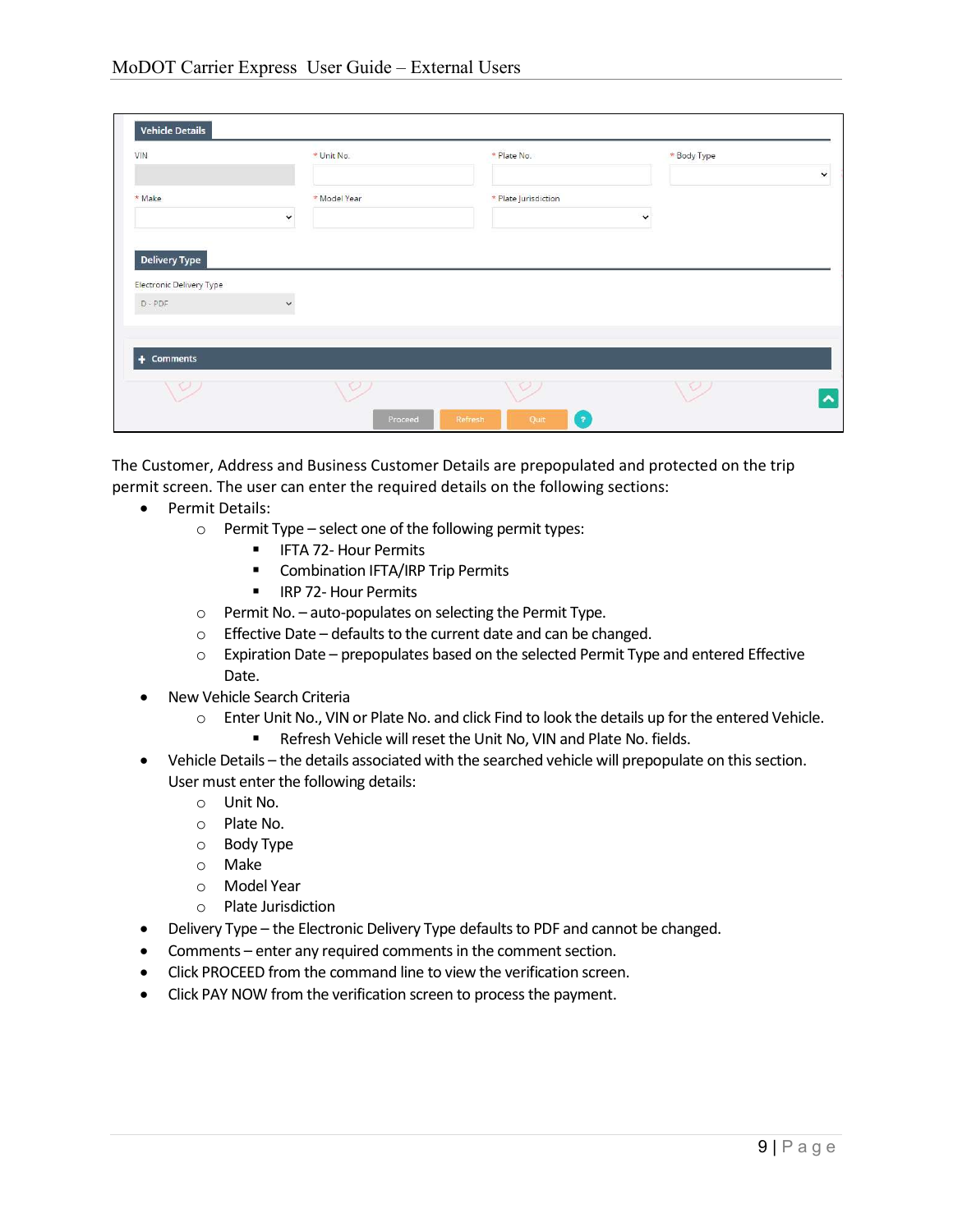| VIN                               |              | * Unit No.   | * Plate No.          | * Body Type  | $\check{~}$ |
|-----------------------------------|--------------|--------------|----------------------|--------------|-------------|
| * Make                            | $\check{~}$  | * Model Year | * Plate Jurisdiction | $\checkmark$ |             |
|                                   |              |              |                      |              |             |
| <b>Delivery Type</b>              |              |              |                      |              |             |
| Electronic Delivery Type<br>D-PDF | $\checkmark$ |              |                      |              |             |
| $+$ Comments                      |              |              |                      |              |             |

The Customer, Address and Business Customer Details are prepopulated and protected on the trip permit screen. The user can enter the required details on the following sections:

- Permit Details:
	- o Permit Type select one of the following permit types:
		- **F** IFTA 72- Hour Permits
		- **E** Combination IFTA/IRP Trip Permits
		- **IF IRP 72- Hour Permits**
	- o Permit No. auto-populates on selecting the Permit Type.
	- o Effective Date defaults to the current date and can be changed.
	- $\circ$  Expiration Date prepopulates based on the selected Permit Type and entered Effective Date.
- New Vehicle Search Criteria
	- o Enter Unit No., VIN or Plate No. and click Find to look the details up for the entered Vehicle.
		- **Refresh Vehicle will reset the Unit No, VIN and Plate No. fields.**
- Vehicle Details the details associated with the searched vehicle will prepopulate on this section. User must enter the following details:
	- o Unit No.
	- o Plate No.
	- o Body Type
	- o Make
	- o Model Year
	- o Plate Jurisdiction
- Delivery Type the Electronic Delivery Type defaults to PDF and cannot be changed.
- Comments enter any required comments in the comment section.
- Click PROCEED from the command line to view the verification screen.
- Click PAY NOW from the verification screen to process the payment.